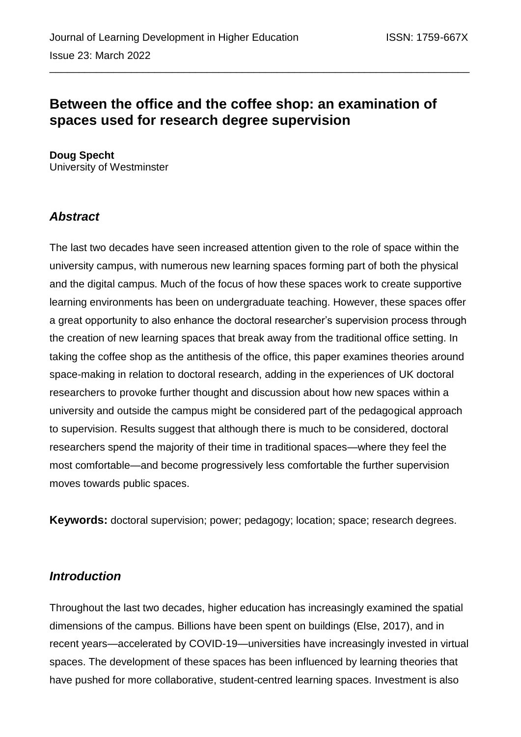# **Between the office and the coffee shop: an examination of spaces used for research degree supervision**

\_\_\_\_\_\_\_\_\_\_\_\_\_\_\_\_\_\_\_\_\_\_\_\_\_\_\_\_\_\_\_\_\_\_\_\_\_\_\_\_\_\_\_\_\_\_\_\_\_\_\_\_\_\_\_\_\_\_\_\_\_\_\_\_\_\_\_\_\_\_\_\_

**Doug Specht** University of Westminster

### *Abstract*

The last two decades have seen increased attention given to the role of space within the university campus, with numerous new learning spaces forming part of both the physical and the digital campus. Much of the focus of how these spaces work to create supportive learning environments has been on undergraduate teaching. However, these spaces offer a great opportunity to also enhance the doctoral researcher's supervision process through the creation of new learning spaces that break away from the traditional office setting. In taking the coffee shop as the antithesis of the office, this paper examines theories around space-making in relation to doctoral research, adding in the experiences of UK doctoral researchers to provoke further thought and discussion about how new spaces within a university and outside the campus might be considered part of the pedagogical approach to supervision. Results suggest that although there is much to be considered, doctoral researchers spend the majority of their time in traditional spaces—where they feel the most comfortable—and become progressively less comfortable the further supervision moves towards public spaces.

**Keywords:** doctoral supervision; power; pedagogy; location; space; research degrees.

#### *Introduction*

Throughout the last two decades, higher education has increasingly examined the spatial dimensions of the campus. Billions have been spent on buildings (Else, 2017), and in recent years—accelerated by COVID-19—universities have increasingly invested in virtual spaces. The development of these spaces has been influenced by learning theories that have pushed for more collaborative, student-centred learning spaces. Investment is also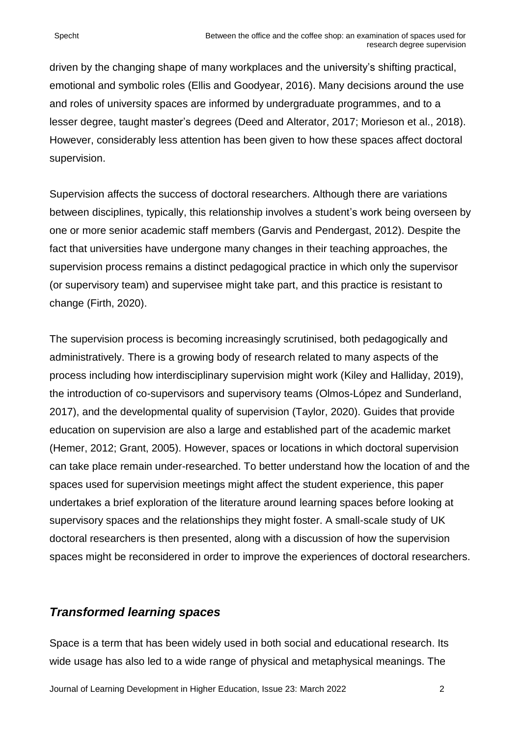driven by the changing shape of many workplaces and the university's shifting practical, emotional and symbolic roles (Ellis and Goodyear, 2016). Many decisions around the use and roles of university spaces are informed by undergraduate programmes, and to a lesser degree, taught master's degrees (Deed and Alterator, 2017; Morieson et al., 2018). However, considerably less attention has been given to how these spaces affect doctoral supervision.

Supervision affects the success of doctoral researchers. Although there are variations between disciplines, typically, this relationship involves a student's work being overseen by one or more senior academic staff members (Garvis and Pendergast, 2012). Despite the fact that universities have undergone many changes in their teaching approaches, the supervision process remains a distinct pedagogical practice in which only the supervisor (or supervisory team) and supervisee might take part, and this practice is resistant to change (Firth, 2020).

The supervision process is becoming increasingly scrutinised, both pedagogically and administratively. There is a growing body of research related to many aspects of the process including how interdisciplinary supervision might work (Kiley and Halliday, 2019), the introduction of co-supervisors and supervisory teams (Olmos-López and Sunderland, 2017), and the developmental quality of supervision (Taylor, 2020). Guides that provide education on supervision are also a large and established part of the academic market (Hemer, 2012; Grant, 2005). However, spaces or locations in which doctoral supervision can take place remain under-researched. To better understand how the location of and the spaces used for supervision meetings might affect the student experience, this paper undertakes a brief exploration of the literature around learning spaces before looking at supervisory spaces and the relationships they might foster. A small-scale study of UK doctoral researchers is then presented, along with a discussion of how the supervision spaces might be reconsidered in order to improve the experiences of doctoral researchers.

### *Transformed learning spaces*

Space is a term that has been widely used in both social and educational research. Its wide usage has also led to a wide range of physical and metaphysical meanings. The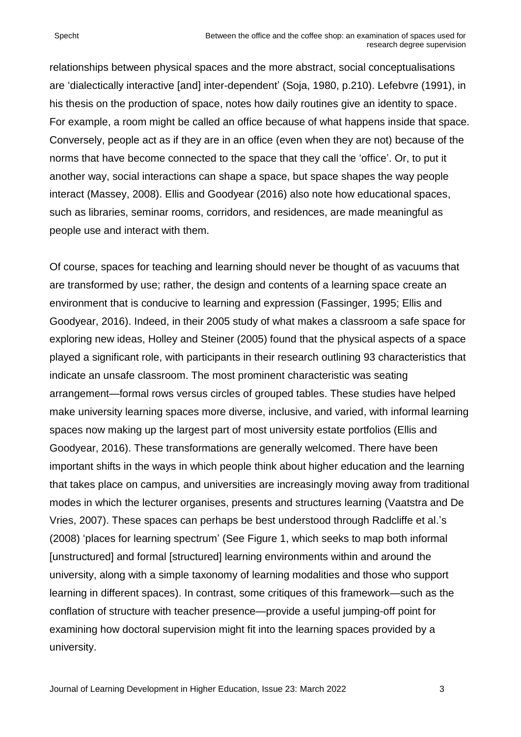relationships between physical spaces and the more abstract, social conceptualisations are 'dialectically interactive [and] inter-dependent' (Soja, 1980, p.210). Lefebvre (1991), in his thesis on the production of space, notes how daily routines give an identity to space. For example, a room might be called an office because of what happens inside that space. Conversely, people act as if they are in an office (even when they are not) because of the norms that have become connected to the space that they call the 'office'. Or, to put it another way, social interactions can shape a space, but space shapes the way people interact (Massey, 2008). Ellis and Goodyear (2016) also note how educational spaces, such as libraries, seminar rooms, corridors, and residences, are made meaningful as people use and interact with them.

Of course, spaces for teaching and learning should never be thought of as vacuums that are transformed by use; rather, the design and contents of a learning space create an environment that is conducive to learning and expression (Fassinger, 1995; Ellis and Goodyear, 2016). Indeed, in their 2005 study of what makes a classroom a safe space for exploring new ideas, Holley and Steiner (2005) found that the physical aspects of a space played a significant role, with participants in their research outlining 93 characteristics that indicate an unsafe classroom. The most prominent characteristic was seating arrangement—formal rows versus circles of grouped tables. These studies have helped make university learning spaces more diverse, inclusive, and varied, with informal learning spaces now making up the largest part of most university estate portfolios (Ellis and Goodyear, 2016). These transformations are generally welcomed. There have been important shifts in the ways in which people think about higher education and the learning that takes place on campus, and universities are increasingly moving away from traditional modes in which the lecturer organises, presents and structures learning (Vaatstra and De Vries, 2007). These spaces can perhaps be best understood through Radcliffe et al.'s (2008) 'places for learning spectrum' (See Figure 1, which seeks to map both informal [unstructured] and formal [structured] learning environments within and around the university, along with a simple taxonomy of learning modalities and those who support learning in different spaces). In contrast, some critiques of this framework—such as the conflation of structure with teacher presence—provide a useful jumping-off point for examining how doctoral supervision might fit into the learning spaces provided by a university.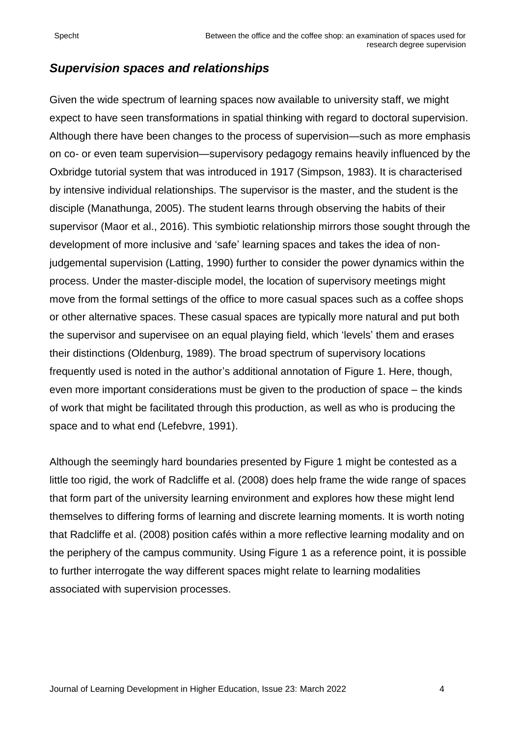### *Supervision spaces and relationships*

Given the wide spectrum of learning spaces now available to university staff, we might expect to have seen transformations in spatial thinking with regard to doctoral supervision. Although there have been changes to the process of supervision—such as more emphasis on co- or even team supervision—supervisory pedagogy remains heavily influenced by the Oxbridge tutorial system that was introduced in 1917 (Simpson, 1983). It is characterised by intensive individual relationships. The supervisor is the master, and the student is the disciple (Manathunga, 2005). The student learns through observing the habits of their supervisor (Maor et al., 2016). This symbiotic relationship mirrors those sought through the development of more inclusive and 'safe' learning spaces and takes the idea of nonjudgemental supervision (Latting, 1990) further to consider the power dynamics within the process. Under the master-disciple model, the location of supervisory meetings might move from the formal settings of the office to more casual spaces such as a coffee shops or other alternative spaces. These casual spaces are typically more natural and put both the supervisor and supervisee on an equal playing field, which 'levels' them and erases their distinctions (Oldenburg, 1989). The broad spectrum of supervisory locations frequently used is noted in the author's additional annotation of Figure 1. Here, though, even more important considerations must be given to the production of space – the kinds of work that might be facilitated through this production, as well as who is producing the space and to what end (Lefebvre, 1991).

Although the seemingly hard boundaries presented by Figure 1 might be contested as a little too rigid, the work of Radcliffe et al. (2008) does help frame the wide range of spaces that form part of the university learning environment and explores how these might lend themselves to differing forms of learning and discrete learning moments. It is worth noting that Radcliffe et al. (2008) position cafés within a more reflective learning modality and on the periphery of the campus community. Using Figure 1 as a reference point, it is possible to further interrogate the way different spaces might relate to learning modalities associated with supervision processes.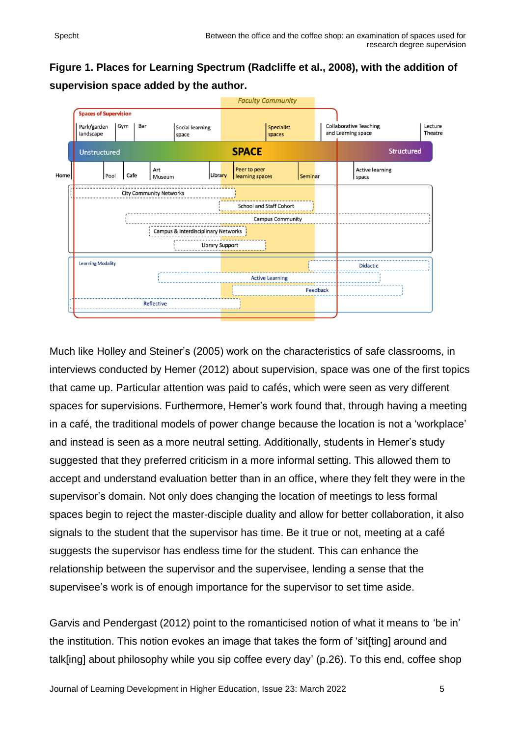**Figure 1. Places for Learning Spectrum (Radcliffe et al., 2008), with the addition of supervision space added by the author.**



Much like Holley and Steiner's (2005) work on the characteristics of safe classrooms, in interviews conducted by Hemer (2012) about supervision, space was one of the first topics that came up. Particular attention was paid to cafés, which were seen as very different spaces for supervisions. Furthermore, Hemer's work found that, through having a meeting in a café, the traditional models of power change because the location is not a 'workplace' and instead is seen as a more neutral setting. Additionally, students in Hemer's study suggested that they preferred criticism in a more informal setting. This allowed them to accept and understand evaluation better than in an office, where they felt they were in the supervisor's domain. Not only does changing the location of meetings to less formal spaces begin to reject the master-disciple duality and allow for better collaboration, it also signals to the student that the supervisor has time. Be it true or not, meeting at a café suggests the supervisor has endless time for the student. This can enhance the relationship between the supervisor and the supervisee, lending a sense that the supervisee's work is of enough importance for the supervisor to set time aside.

Garvis and Pendergast (2012) point to the romanticised notion of what it means to 'be in' the institution. This notion evokes an image that takes the form of 'sit[ting] around and talk[ing] about philosophy while you sip coffee every day' (p.26). To this end, coffee shop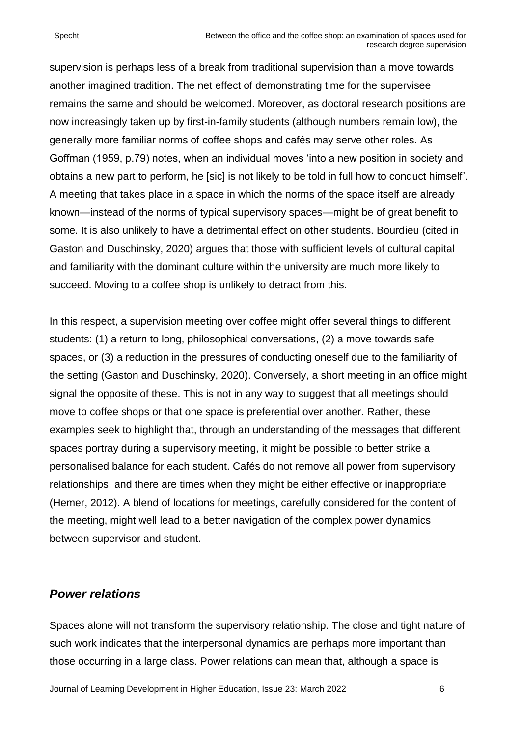supervision is perhaps less of a break from traditional supervision than a move towards another imagined tradition. The net effect of demonstrating time for the supervisee remains the same and should be welcomed. Moreover, as doctoral research positions are now increasingly taken up by first-in-family students (although numbers remain low), the generally more familiar norms of coffee shops and cafés may serve other roles. As Goffman (1959, p.79) notes, when an individual moves 'into a new position in society and obtains a new part to perform, he [sic] is not likely to be told in full how to conduct himself'. A meeting that takes place in a space in which the norms of the space itself are already known—instead of the norms of typical supervisory spaces—might be of great benefit to some. It is also unlikely to have a detrimental effect on other students. Bourdieu (cited in Gaston and Duschinsky, 2020) argues that those with sufficient levels of cultural capital and familiarity with the dominant culture within the university are much more likely to succeed. Moving to a coffee shop is unlikely to detract from this.

In this respect, a supervision meeting over coffee might offer several things to different students: (1) a return to long, philosophical conversations, (2) a move towards safe spaces, or (3) a reduction in the pressures of conducting oneself due to the familiarity of the setting (Gaston and Duschinsky, 2020). Conversely, a short meeting in an office might signal the opposite of these. This is not in any way to suggest that all meetings should move to coffee shops or that one space is preferential over another. Rather, these examples seek to highlight that, through an understanding of the messages that different spaces portray during a supervisory meeting, it might be possible to better strike a personalised balance for each student. Cafés do not remove all power from supervisory relationships, and there are times when they might be either effective or inappropriate (Hemer, 2012). A blend of locations for meetings, carefully considered for the content of the meeting, might well lead to a better navigation of the complex power dynamics between supervisor and student.

#### *Power relations*

Spaces alone will not transform the supervisory relationship. The close and tight nature of such work indicates that the interpersonal dynamics are perhaps more important than those occurring in a large class. Power relations can mean that, although a space is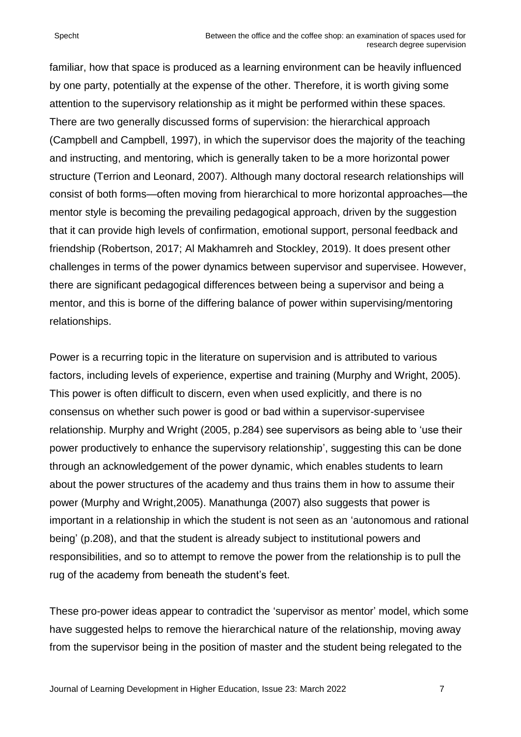familiar, how that space is produced as a learning environment can be heavily influenced by one party, potentially at the expense of the other. Therefore, it is worth giving some attention to the supervisory relationship as it might be performed within these spaces. There are two generally discussed forms of supervision: the hierarchical approach (Campbell and Campbell, 1997), in which the supervisor does the majority of the teaching and instructing, and mentoring, which is generally taken to be a more horizontal power structure (Terrion and Leonard, 2007). Although many doctoral research relationships will consist of both forms—often moving from hierarchical to more horizontal approaches—the mentor style is becoming the prevailing pedagogical approach, driven by the suggestion that it can provide high levels of confirmation, emotional support, personal feedback and friendship (Robertson, 2017; Al Makhamreh and Stockley, 2019). It does present other challenges in terms of the power dynamics between supervisor and supervisee. However, there are significant pedagogical differences between being a supervisor and being a mentor, and this is borne of the differing balance of power within supervising/mentoring relationships.

Power is a recurring topic in the literature on supervision and is attributed to various factors, including levels of experience, expertise and training (Murphy and Wright, 2005). This power is often difficult to discern, even when used explicitly, and there is no consensus on whether such power is good or bad within a supervisor-supervisee relationship. Murphy and Wright (2005, p.284) see supervisors as being able to 'use their power productively to enhance the supervisory relationship', suggesting this can be done through an acknowledgement of the power dynamic, which enables students to learn about the power structures of the academy and thus trains them in how to assume their power (Murphy and Wright,2005). Manathunga (2007) also suggests that power is important in a relationship in which the student is not seen as an 'autonomous and rational being' (p.208), and that the student is already subject to institutional powers and responsibilities, and so to attempt to remove the power from the relationship is to pull the rug of the academy from beneath the student's feet.

These pro-power ideas appear to contradict the 'supervisor as mentor' model, which some have suggested helps to remove the hierarchical nature of the relationship, moving away from the supervisor being in the position of master and the student being relegated to the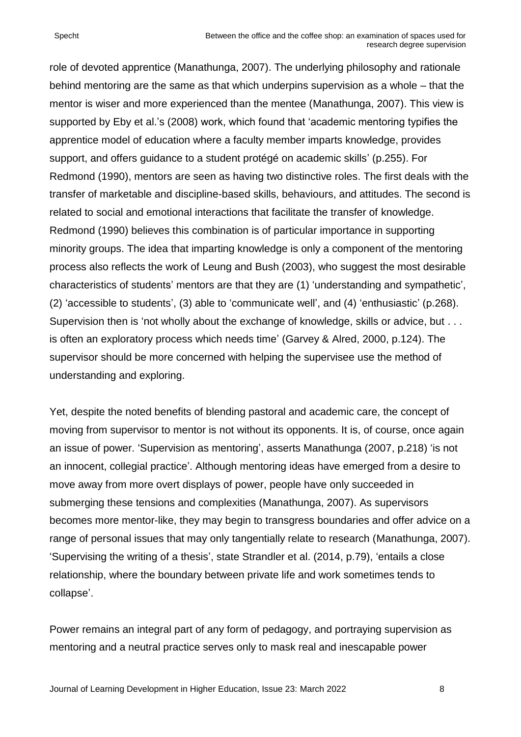role of devoted apprentice (Manathunga, 2007). The underlying philosophy and rationale behind mentoring are the same as that which underpins supervision as a whole – that the mentor is wiser and more experienced than the mentee (Manathunga, 2007). This view is supported by Eby et al.'s (2008) work, which found that 'academic mentoring typifies the apprentice model of education where a faculty member imparts knowledge, provides support, and offers guidance to a student protégé on academic skills' (p.255). For Redmond (1990), mentors are seen as having two distinctive roles. The first deals with the transfer of marketable and discipline-based skills, behaviours, and attitudes. The second is related to social and emotional interactions that facilitate the transfer of knowledge. Redmond (1990) believes this combination is of particular importance in supporting minority groups. The idea that imparting knowledge is only a component of the mentoring process also reflects the work of Leung and Bush (2003), who suggest the most desirable characteristics of students' mentors are that they are (1) 'understanding and sympathetic', (2) 'accessible to students', (3) able to 'communicate well', and (4) 'enthusiastic' (p.268). Supervision then is 'not wholly about the exchange of knowledge, skills or advice, but . . . is often an exploratory process which needs time' (Garvey & Alred, 2000, p.124). The supervisor should be more concerned with helping the supervisee use the method of understanding and exploring.

Yet, despite the noted benefits of blending pastoral and academic care, the concept of moving from supervisor to mentor is not without its opponents. It is, of course, once again an issue of power. 'Supervision as mentoring', asserts Manathunga (2007, p.218) 'is not an innocent, collegial practice'. Although mentoring ideas have emerged from a desire to move away from more overt displays of power, people have only succeeded in submerging these tensions and complexities (Manathunga, 2007). As supervisors becomes more mentor-like, they may begin to transgress boundaries and offer advice on a range of personal issues that may only tangentially relate to research (Manathunga, 2007). 'Supervising the writing of a thesis', state Strandler et al. (2014, p.79), 'entails a close relationship, where the boundary between private life and work sometimes tends to collapse'.

Power remains an integral part of any form of pedagogy, and portraying supervision as mentoring and a neutral practice serves only to mask real and inescapable power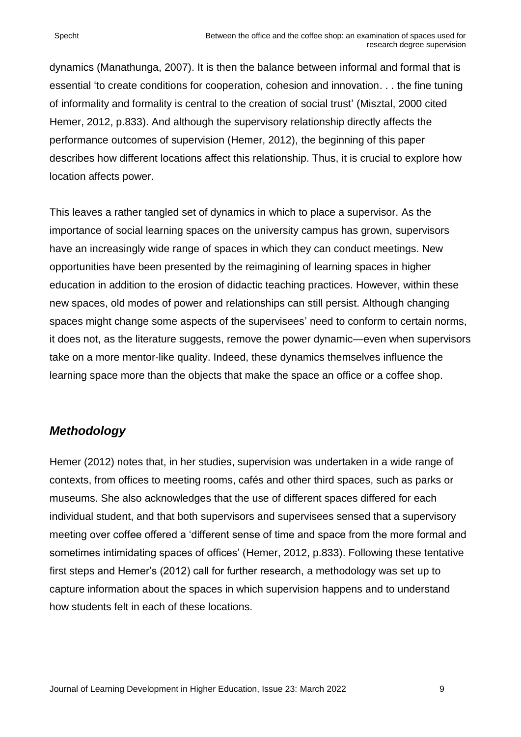dynamics (Manathunga, 2007). It is then the balance between informal and formal that is essential 'to create conditions for cooperation, cohesion and innovation. . . the fine tuning of informality and formality is central to the creation of social trust' (Misztal, 2000 cited Hemer, 2012, p.833). And although the supervisory relationship directly affects the performance outcomes of supervision (Hemer, 2012), the beginning of this paper describes how different locations affect this relationship. Thus, it is crucial to explore how location affects power.

This leaves a rather tangled set of dynamics in which to place a supervisor. As the importance of social learning spaces on the university campus has grown, supervisors have an increasingly wide range of spaces in which they can conduct meetings. New opportunities have been presented by the reimagining of learning spaces in higher education in addition to the erosion of didactic teaching practices. However, within these new spaces, old modes of power and relationships can still persist. Although changing spaces might change some aspects of the supervisees' need to conform to certain norms, it does not, as the literature suggests, remove the power dynamic—even when supervisors take on a more mentor-like quality. Indeed, these dynamics themselves influence the learning space more than the objects that make the space an office or a coffee shop.

### *Methodology*

Hemer (2012) notes that, in her studies, supervision was undertaken in a wide range of contexts, from offices to meeting rooms, cafés and other third spaces, such as parks or museums. She also acknowledges that the use of different spaces differed for each individual student, and that both supervisors and supervisees sensed that a supervisory meeting over coffee offered a 'different sense of time and space from the more formal and sometimes intimidating spaces of offices' (Hemer, 2012, p.833). Following these tentative first steps and Hemer's (2012) call for further research, a methodology was set up to capture information about the spaces in which supervision happens and to understand how students felt in each of these locations.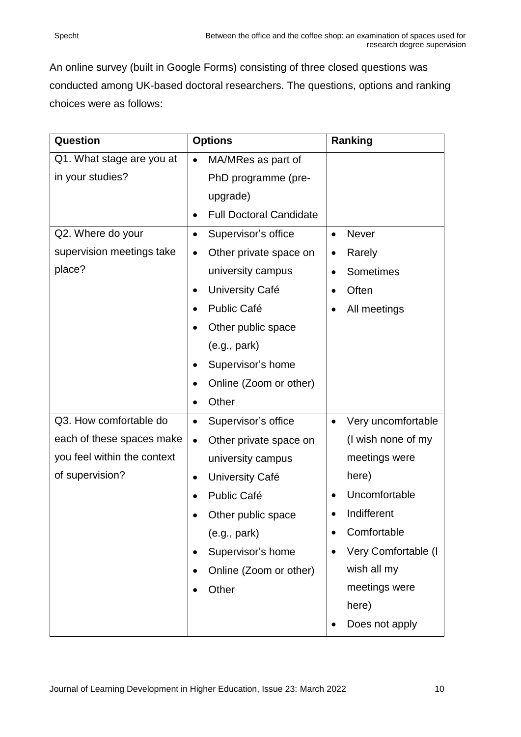An online survey (built in Google Forms) consisting of three closed questions was conducted among UK-based doctoral researchers. The questions, options and ranking choices were as follows:

| <b>Question</b>             | <b>Options</b>                      | Ranking                         |
|-----------------------------|-------------------------------------|---------------------------------|
| Q1. What stage are you at   | MA/MRes as part of                  |                                 |
| in your studies?            | PhD programme (pre-                 |                                 |
|                             | upgrade)                            |                                 |
|                             | <b>Full Doctoral Candidate</b>      |                                 |
| Q2. Where do your           | Supervisor's office                 | Never<br>$\bullet$              |
| supervision meetings take   | Other private space on<br>$\bullet$ | Rarely<br>$\bullet$             |
| place?                      | university campus                   | Sometimes<br>$\bullet$          |
|                             | University Café                     | Often                           |
|                             | Public Café                         | All meetings<br>$\bullet$       |
|                             | Other public space                  |                                 |
|                             | (e.g., park)                        |                                 |
|                             | Supervisor's home                   |                                 |
|                             | Online (Zoom or other)              |                                 |
|                             | Other                               |                                 |
| Q3. How comfortable do      | Supervisor's office<br>$\bullet$    | Very uncomfortable<br>$\bullet$ |
| each of these spaces make   | Other private space on<br>$\bullet$ | (I wish none of my              |
| you feel within the context | university campus                   | meetings were                   |
| of supervision?             | University Café                     | here)                           |
|                             | <b>Public Café</b>                  | Uncomfortable                   |
|                             | Other public space                  | Indifferent                     |
|                             | (e.g., park)                        | Comfortable                     |
|                             | Supervisor's home                   | Very Comfortable (I             |
|                             | Online (Zoom or other)              | wish all my                     |
|                             | Other                               | meetings were                   |
|                             |                                     | here)                           |
|                             |                                     | Does not apply                  |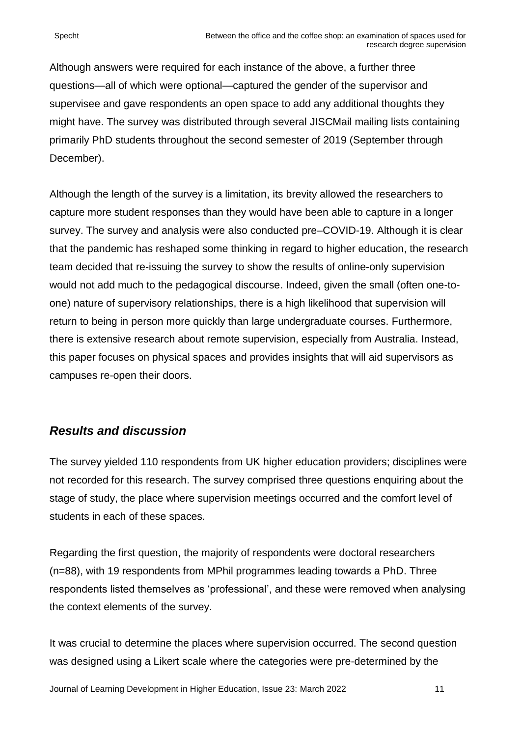Although answers were required for each instance of the above, a further three questions—all of which were optional—captured the gender of the supervisor and supervisee and gave respondents an open space to add any additional thoughts they might have. The survey was distributed through several JISCMail mailing lists containing primarily PhD students throughout the second semester of 2019 (September through December).

Although the length of the survey is a limitation, its brevity allowed the researchers to capture more student responses than they would have been able to capture in a longer survey. The survey and analysis were also conducted pre–COVID-19. Although it is clear that the pandemic has reshaped some thinking in regard to higher education, the research team decided that re-issuing the survey to show the results of online-only supervision would not add much to the pedagogical discourse. Indeed, given the small (often one-toone) nature of supervisory relationships, there is a high likelihood that supervision will return to being in person more quickly than large undergraduate courses. Furthermore, there is extensive research about remote supervision, especially from Australia. Instead, this paper focuses on physical spaces and provides insights that will aid supervisors as campuses re-open their doors.

### *Results and discussion*

The survey yielded 110 respondents from UK higher education providers; disciplines were not recorded for this research. The survey comprised three questions enquiring about the stage of study, the place where supervision meetings occurred and the comfort level of students in each of these spaces.

Regarding the first question, the majority of respondents were doctoral researchers (n=88), with 19 respondents from MPhil programmes leading towards a PhD. Three respondents listed themselves as 'professional', and these were removed when analysing the context elements of the survey.

It was crucial to determine the places where supervision occurred. The second question was designed using a Likert scale where the categories were pre-determined by the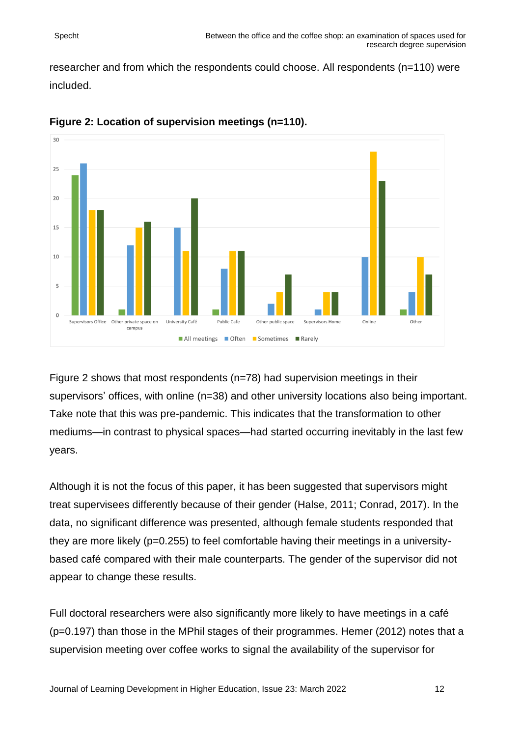researcher and from which the respondents could choose. All respondents (n=110) were included.



#### **Figure 2: Location of supervision meetings (n=110).**

Figure 2 shows that most respondents (n=78) had supervision meetings in their supervisors' offices, with online (n=38) and other university locations also being important. Take note that this was pre-pandemic. This indicates that the transformation to other mediums—in contrast to physical spaces—had started occurring inevitably in the last few years.

Although it is not the focus of this paper, it has been suggested that supervisors might treat supervisees differently because of their gender (Halse, 2011; Conrad, 2017). In the data, no significant difference was presented, although female students responded that they are more likely (p=0.255) to feel comfortable having their meetings in a universitybased café compared with their male counterparts. The gender of the supervisor did not appear to change these results.

Full doctoral researchers were also significantly more likely to have meetings in a café (p=0.197) than those in the MPhil stages of their programmes. Hemer (2012) notes that a supervision meeting over coffee works to signal the availability of the supervisor for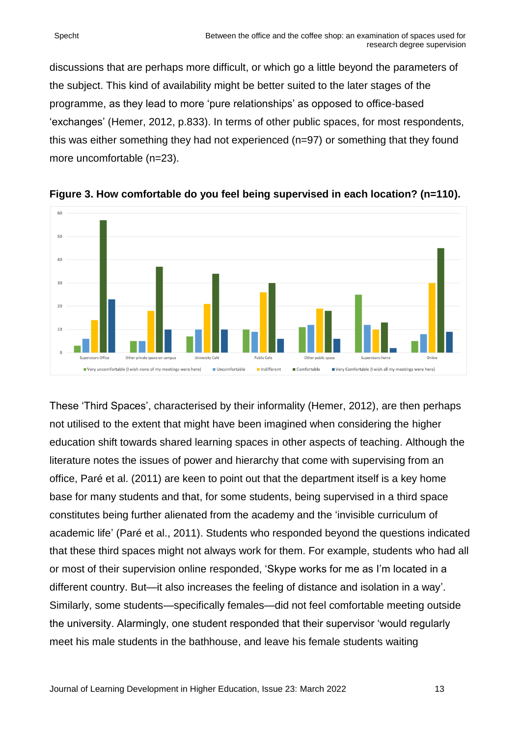discussions that are perhaps more difficult, or which go a little beyond the parameters of the subject. This kind of availability might be better suited to the later stages of the programme, as they lead to more 'pure relationships' as opposed to office-based 'exchanges' (Hemer, 2012, p.833). In terms of other public spaces, for most respondents, this was either something they had not experienced (n=97) or something that they found more uncomfortable (n=23).





These 'Third Spaces', characterised by their informality (Hemer, 2012), are then perhaps not utilised to the extent that might have been imagined when considering the higher education shift towards shared learning spaces in other aspects of teaching. Although the literature notes the issues of power and hierarchy that come with supervising from an office, Paré et al. (2011) are keen to point out that the department itself is a key home base for many students and that, for some students, being supervised in a third space constitutes being further alienated from the academy and the 'invisible curriculum of academic life' (Paré et al., 2011). Students who responded beyond the questions indicated that these third spaces might not always work for them. For example, students who had all or most of their supervision online responded, 'Skype works for me as I'm located in a different country. But—it also increases the feeling of distance and isolation in a way'. Similarly, some students—specifically females—did not feel comfortable meeting outside the university. Alarmingly, one student responded that their supervisor 'would regularly meet his male students in the bathhouse, and leave his female students waiting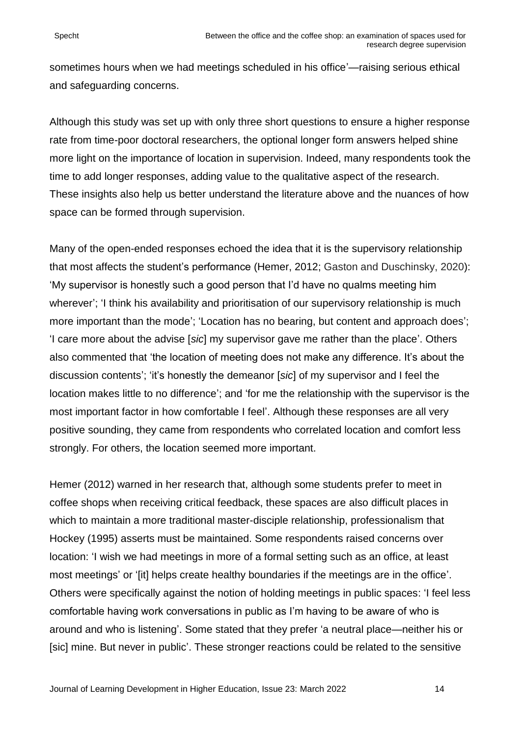sometimes hours when we had meetings scheduled in his office'—raising serious ethical and safeguarding concerns.

Although this study was set up with only three short questions to ensure a higher response rate from time-poor doctoral researchers, the optional longer form answers helped shine more light on the importance of location in supervision. Indeed, many respondents took the time to add longer responses, adding value to the qualitative aspect of the research. These insights also help us better understand the literature above and the nuances of how space can be formed through supervision.

Many of the open-ended responses echoed the idea that it is the supervisory relationship that most affects the student's performance (Hemer, 2012; Gaston and Duschinsky, 2020): 'My supervisor is honestly such a good person that I'd have no qualms meeting him wherever'; 'I think his availability and prioritisation of our supervisory relationship is much more important than the mode'; 'Location has no bearing, but content and approach does'; 'I care more about the advise [*sic*] my supervisor gave me rather than the place'. Others also commented that 'the location of meeting does not make any difference. It's about the discussion contents'; 'it's honestly the demeanor [*sic*] of my supervisor and I feel the location makes little to no difference'; and 'for me the relationship with the supervisor is the most important factor in how comfortable I feel'. Although these responses are all very positive sounding, they came from respondents who correlated location and comfort less strongly. For others, the location seemed more important.

Hemer (2012) warned in her research that, although some students prefer to meet in coffee shops when receiving critical feedback, these spaces are also difficult places in which to maintain a more traditional master-disciple relationship, professionalism that Hockey (1995) asserts must be maintained. Some respondents raised concerns over location: 'I wish we had meetings in more of a formal setting such as an office, at least most meetings' or '[it] helps create healthy boundaries if the meetings are in the office'. Others were specifically against the notion of holding meetings in public spaces: 'I feel less comfortable having work conversations in public as I'm having to be aware of who is around and who is listening'. Some stated that they prefer 'a neutral place—neither his or [sic] mine. But never in public'. These stronger reactions could be related to the sensitive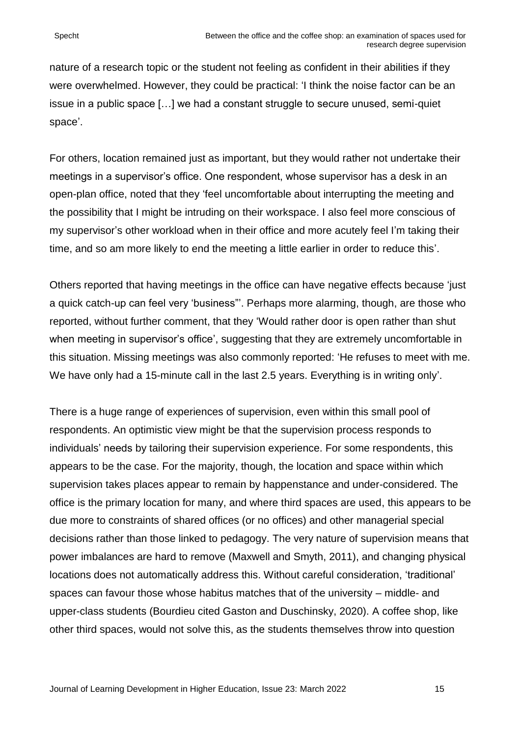nature of a research topic or the student not feeling as confident in their abilities if they were overwhelmed. However, they could be practical: 'I think the noise factor can be an issue in a public space […] we had a constant struggle to secure unused, semi-quiet space'.

For others, location remained just as important, but they would rather not undertake their meetings in a supervisor's office. One respondent, whose supervisor has a desk in an open-plan office, noted that they 'feel uncomfortable about interrupting the meeting and the possibility that I might be intruding on their workspace. I also feel more conscious of my supervisor's other workload when in their office and more acutely feel I'm taking their time, and so am more likely to end the meeting a little earlier in order to reduce this'.

Others reported that having meetings in the office can have negative effects because 'just a quick catch-up can feel very 'business"'. Perhaps more alarming, though, are those who reported, without further comment, that they 'Would rather door is open rather than shut when meeting in supervisor's office', suggesting that they are extremely uncomfortable in this situation. Missing meetings was also commonly reported: 'He refuses to meet with me. We have only had a 15-minute call in the last 2.5 years. Everything is in writing only'.

There is a huge range of experiences of supervision, even within this small pool of respondents. An optimistic view might be that the supervision process responds to individuals' needs by tailoring their supervision experience. For some respondents, this appears to be the case. For the majority, though, the location and space within which supervision takes places appear to remain by happenstance and under-considered. The office is the primary location for many, and where third spaces are used, this appears to be due more to constraints of shared offices (or no offices) and other managerial special decisions rather than those linked to pedagogy. The very nature of supervision means that power imbalances are hard to remove (Maxwell and Smyth, 2011), and changing physical locations does not automatically address this. Without careful consideration, 'traditional' spaces can favour those whose habitus matches that of the university – middle- and upper-class students (Bourdieu cited Gaston and Duschinsky, 2020). A coffee shop, like other third spaces, would not solve this, as the students themselves throw into question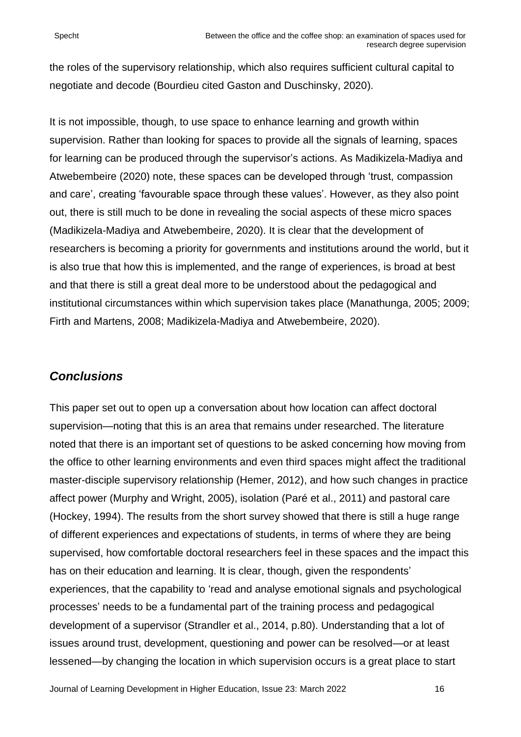the roles of the supervisory relationship, which also requires sufficient cultural capital to negotiate and decode (Bourdieu cited Gaston and Duschinsky, 2020).

It is not impossible, though, to use space to enhance learning and growth within supervision. Rather than looking for spaces to provide all the signals of learning, spaces for learning can be produced through the supervisor's actions. As Madikizela-Madiya and Atwebembeire (2020) note, these spaces can be developed through 'trust, compassion and care', creating 'favourable space through these values'. However, as they also point out, there is still much to be done in revealing the social aspects of these micro spaces (Madikizela-Madiya and Atwebembeire, 2020). It is clear that the development of researchers is becoming a priority for governments and institutions around the world, but it is also true that how this is implemented, and the range of experiences, is broad at best and that there is still a great deal more to be understood about the pedagogical and institutional circumstances within which supervision takes place (Manathunga, 2005; 2009; Firth and Martens, 2008; Madikizela-Madiya and Atwebembeire, 2020).

### *Conclusions*

This paper set out to open up a conversation about how location can affect doctoral supervision—noting that this is an area that remains under researched. The literature noted that there is an important set of questions to be asked concerning how moving from the office to other learning environments and even third spaces might affect the traditional master-disciple supervisory relationship (Hemer, 2012), and how such changes in practice affect power (Murphy and Wright, 2005), isolation (Paré et al., 2011) and pastoral care (Hockey, 1994). The results from the short survey showed that there is still a huge range of different experiences and expectations of students, in terms of where they are being supervised, how comfortable doctoral researchers feel in these spaces and the impact this has on their education and learning. It is clear, though, given the respondents' experiences, that the capability to 'read and analyse emotional signals and psychological processes' needs to be a fundamental part of the training process and pedagogical development of a supervisor (Strandler et al., 2014, p.80). Understanding that a lot of issues around trust, development, questioning and power can be resolved—or at least lessened—by changing the location in which supervision occurs is a great place to start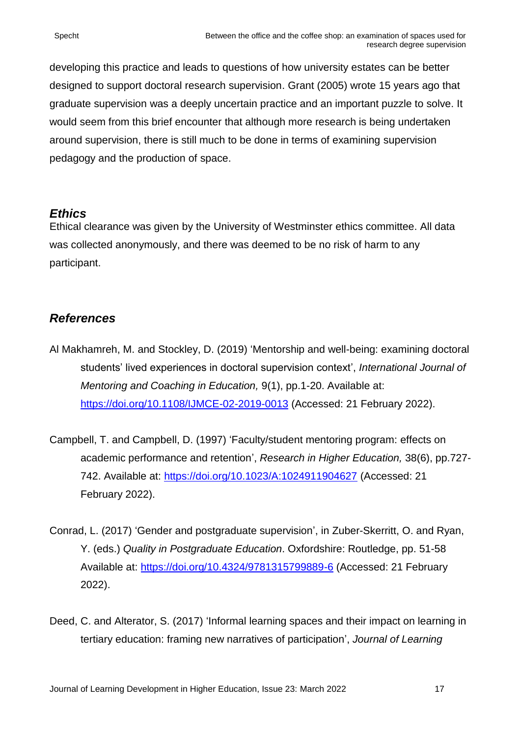developing this practice and leads to questions of how university estates can be better designed to support doctoral research supervision. Grant (2005) wrote 15 years ago that graduate supervision was a deeply uncertain practice and an important puzzle to solve. It would seem from this brief encounter that although more research is being undertaken around supervision, there is still much to be done in terms of examining supervision pedagogy and the production of space.

#### *Ethics*

Ethical clearance was given by the University of Westminster ethics committee. All data was collected anonymously, and there was deemed to be no risk of harm to any participant.

# *References*

- Al Makhamreh, M. and Stockley, D. (2019) 'Mentorship and well-being: examining doctoral students' lived experiences in doctoral supervision context', *International Journal of Mentoring and Coaching in Education,* 9(1), pp.1-20. Available at: <https://doi.org/10.1108/IJMCE-02-2019-0013> (Accessed: 21 February 2022).
- Campbell, T. and Campbell, D. (1997) 'Faculty/student mentoring program: effects on academic performance and retention', *Research in Higher Education,* 38(6), pp.727- 742. Available at:<https://doi.org/10.1023/A:1024911904627> (Accessed: 21 February 2022).
- Conrad, L. (2017) 'Gender and postgraduate supervision', in Zuber-Skerritt, O. and Ryan, Y. (eds.) *Quality in Postgraduate Education*. Oxfordshire: Routledge, pp. 51-58 Available at:<https://doi.org/10.4324/9781315799889-6> (Accessed: 21 February 2022).
- Deed, C. and Alterator, S. (2017) 'Informal learning spaces and their impact on learning in tertiary education: framing new narratives of participation', *Journal of Learning*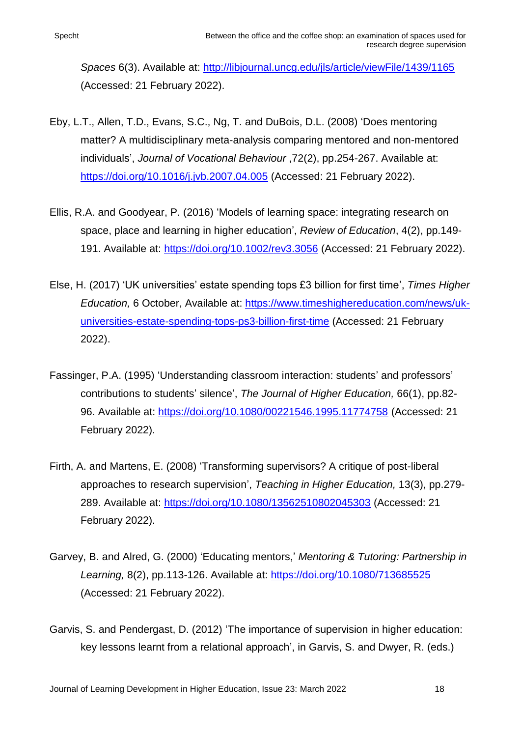*Spaces* 6(3). Available at:<http://libjournal.uncg.edu/jls/article/viewFile/1439/1165> (Accessed: 21 February 2022).

- Eby, L.T., Allen, T.D., Evans, S.C., Ng, T. and DuBois, D.L. (2008) 'Does mentoring matter? A multidisciplinary meta-analysis comparing mentored and non-mentored individuals', *Journal of Vocational Behaviour* ,72(2), pp.254-267. Available at: <https://doi.org/10.1016/j.jvb.2007.04.005> (Accessed: 21 February 2022).
- Ellis, R.A. and Goodyear, P. (2016) 'Models of learning space: integrating research on space, place and learning in higher education', *Review of Education*, 4(2), pp.149- 191. Available at: <https://doi.org/10.1002/rev3.3056> (Accessed: 21 February 2022).
- Else, H. (2017) 'UK universities' estate spending tops £3 billion for first time', *Times Higher Education,* 6 October, Available at: [https://www.timeshighereducation.com/news/uk](https://www.timeshighereducation.com/news/uk-universities-estate-spending-tops-ps3-billion-first-time)[universities-estate-spending-tops-ps3-billion-first-time](https://www.timeshighereducation.com/news/uk-universities-estate-spending-tops-ps3-billion-first-time) (Accessed: 21 February 2022).
- Fassinger, P.A. (1995) 'Understanding classroom interaction: students' and professors' contributions to students' silence', *The Journal of Higher Education,* 66(1), pp.82- 96. Available at:<https://doi.org/10.1080/00221546.1995.11774758> (Accessed: 21 February 2022).
- Firth, A. and Martens, E. (2008) 'Transforming supervisors? A critique of post-liberal approaches to research supervision', *Teaching in Higher Education,* 13(3), pp.279- 289. Available at:<https://doi.org/10.1080/13562510802045303> (Accessed: 21 February 2022).
- Garvey, B. and Alred, G. (2000) 'Educating mentors,' *Mentoring & Tutoring: Partnership in Learning,* 8(2), pp.113-126. Available at:<https://doi.org/10.1080/713685525> (Accessed: 21 February 2022).
- Garvis, S. and Pendergast, D. (2012) 'The importance of supervision in higher education: key lessons learnt from a relational approach', in Garvis, S. and Dwyer, R. (eds.)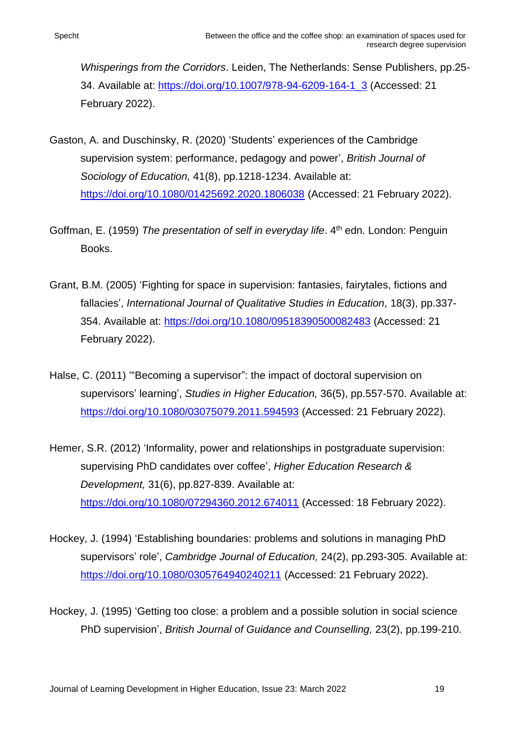*Whisperings from the Corridors*. Leiden, The Netherlands: Sense Publishers, pp.25- 34. Available at: [https://doi.org/10.1007/978-94-6209-164-1\\_3](https://doi.org/10.1007/978-94-6209-164-1_3) (Accessed: 21 February 2022).

- Gaston, A. and Duschinsky, R. (2020) 'Students' experiences of the Cambridge supervision system: performance, pedagogy and power', *British Journal of Sociology of Education,* 41(8), pp.1218-1234. Available at: <https://doi.org/10.1080/01425692.2020.1806038> (Accessed: 21 February 2022).
- Goffman, E. (1959) The presentation of self in everyday life. 4<sup>th</sup> edn. London: Penguin Books.
- Grant, B.M. (2005) 'Fighting for space in supervision: fantasies, fairytales, fictions and fallacies', *International Journal of Qualitative Studies in Education,* 18(3), pp.337- 354. Available at:<https://doi.org/10.1080/09518390500082483> (Accessed: 21 February 2022).
- Halse, C. (2011) '"Becoming a supervisor": the impact of doctoral supervision on supervisors' learning', *Studies in Higher Education,* 36(5), pp.557-570. Available at: <https://doi.org/10.1080/03075079.2011.594593> (Accessed: 21 February 2022).
- Hemer, S.R. (2012) 'Informality, power and relationships in postgraduate supervision: supervising PhD candidates over coffee', *Higher Education Research & Development,* 31(6), pp.827-839. Available at: <https://doi.org/10.1080/07294360.2012.674011> (Accessed: 18 February 2022).
- Hockey, J. (1994) 'Establishing boundaries: problems and solutions in managing PhD supervisors' role', *Cambridge Journal of Education,* 24(2), pp.293-305. Available at: <https://doi.org/10.1080/0305764940240211> (Accessed: 21 February 2022).
- Hockey, J. (1995) 'Getting too close: a problem and a possible solution in social science PhD supervision', *British Journal of Guidance and Counselling,* 23(2), pp.199-210.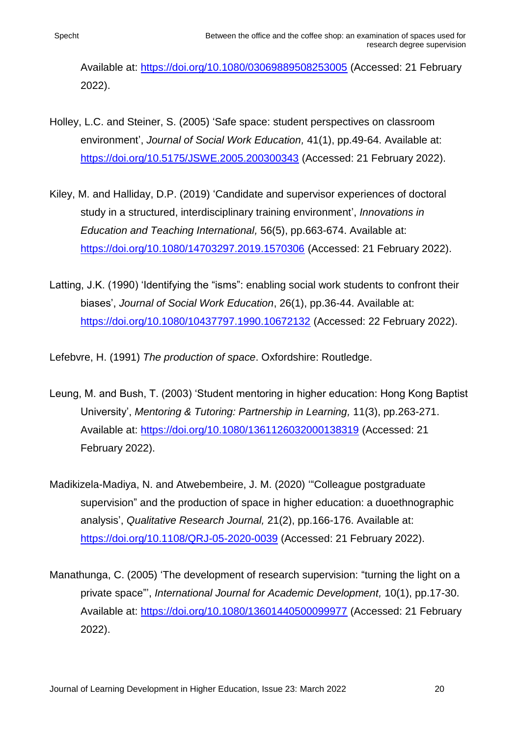Available at:<https://doi.org/10.1080/03069889508253005> (Accessed: 21 February 2022).

- Holley, L.C. and Steiner, S. (2005) 'Safe space: student perspectives on classroom environment', *Journal of Social Work Education,* 41(1), pp.49-64. Available at: <https://doi.org/10.5175/JSWE.2005.200300343> (Accessed: 21 February 2022).
- Kiley, M. and Halliday, D.P. (2019) 'Candidate and supervisor experiences of doctoral study in a structured, interdisciplinary training environment', *Innovations in Education and Teaching International,* 56(5), pp.663-674. Available at: <https://doi.org/10.1080/14703297.2019.1570306> (Accessed: 21 February 2022).
- Latting, J.K. (1990) 'Identifying the "isms": enabling social work students to confront their biases', *Journal of Social Work Education*, 26(1), pp.36-44. Available at: <https://doi.org/10.1080/10437797.1990.10672132> (Accessed: 22 February 2022).

Lefebvre, H. (1991) *The production of space*. Oxfordshire: Routledge.

- Leung, M. and Bush, T. (2003) 'Student mentoring in higher education: Hong Kong Baptist University', *Mentoring & Tutoring: Partnership in Learning,* 11(3), pp.263-271. Available at:<https://doi.org/10.1080/1361126032000138319> (Accessed: 21 February 2022).
- Madikizela-Madiya, N. and Atwebembeire, J. M. (2020) '"Colleague postgraduate supervision" and the production of space in higher education: a duoethnographic analysis', *Qualitative Research Journal,* 21(2), pp.166-176. Available at: <https://doi.org/10.1108/QRJ-05-2020-0039> (Accessed: 21 February 2022).
- Manathunga, C. (2005) 'The development of research supervision: "turning the light on a private space"', *International Journal for Academic Development,* 10(1), pp.17-30. Available at:<https://doi.org/10.1080/13601440500099977> (Accessed: 21 February 2022).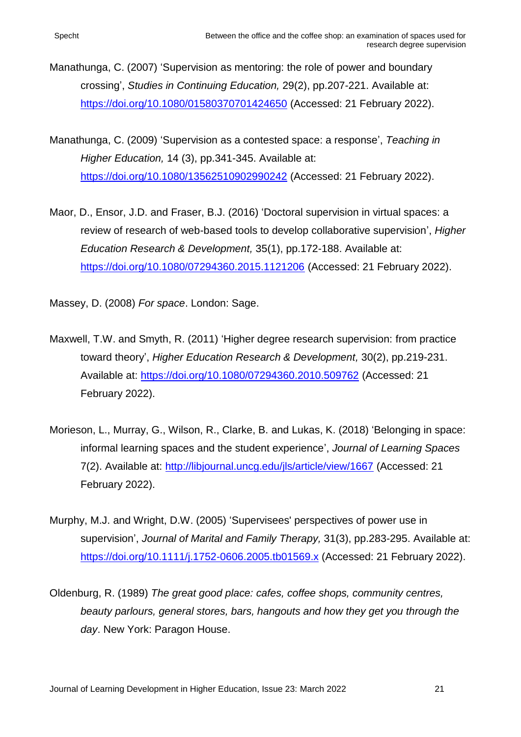- Manathunga, C. (2007) 'Supervision as mentoring: the role of power and boundary crossing', *Studies in Continuing Education,* 29(2), pp.207-221. Available at: <https://doi.org/10.1080/01580370701424650> (Accessed: 21 February 2022).
- Manathunga, C. (2009) 'Supervision as a contested space: a response', *Teaching in Higher Education,* 14 (3), pp.341-345. Available at: <https://doi.org/10.1080/13562510902990242> (Accessed: 21 February 2022).
- Maor, D., Ensor, J.D. and Fraser, B.J. (2016) 'Doctoral supervision in virtual spaces: a review of research of web-based tools to develop collaborative supervision', *Higher Education Research & Development,* 35(1), pp.172-188. Available at: <https://doi.org/10.1080/07294360.2015.1121206> (Accessed: 21 February 2022).

Massey, D. (2008) *For space*. London: Sage.

- Maxwell, T.W. and Smyth, R. (2011) 'Higher degree research supervision: from practice toward theory', *Higher Education Research & Development,* 30(2), pp.219-231. Available at:<https://doi.org/10.1080/07294360.2010.509762> (Accessed: 21 February 2022).
- Morieson, L., Murray, G., Wilson, R., Clarke, B. and Lukas, K. (2018) 'Belonging in space: informal learning spaces and the student experience', *Journal of Learning Spaces* 7(2). Available at:<http://libjournal.uncg.edu/jls/article/view/1667> (Accessed: 21 February 2022).
- Murphy, M.J. and Wright, D.W. (2005) 'Supervisees' perspectives of power use in supervision', *Journal of Marital and Family Therapy,* 31(3), pp.283-295. Available at: <https://doi.org/10.1111/j.1752-0606.2005.tb01569.x> (Accessed: 21 February 2022).
- Oldenburg, R. (1989) *The great good place: cafes, coffee shops, community centres, beauty parlours, general stores, bars, hangouts and how they get you through the day*. New York: Paragon House.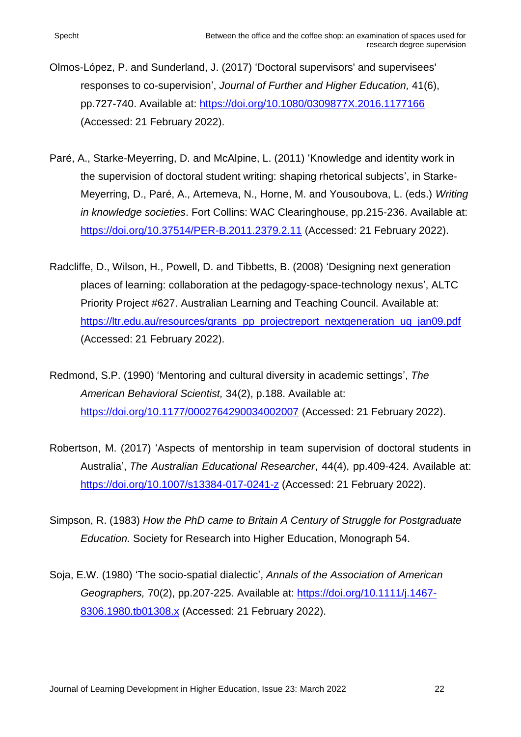- Olmos-López, P. and Sunderland, J. (2017) 'Doctoral supervisors' and supervisees' responses to co-supervision', *Journal of Further and Higher Education,* 41(6), pp.727-740. Available at: <https://doi.org/10.1080/0309877X.2016.1177166> (Accessed: 21 February 2022).
- Paré, A., Starke-Meyerring, D. and McAlpine, L. (2011) 'Knowledge and identity work in the supervision of doctoral student writing: shaping rhetorical subjects', in Starke-Meyerring, D., Paré, A., Artemeva, N., Horne, M. and Yousoubova, L. (eds.) *Writing in knowledge societies*. Fort Collins: WAC Clearinghouse, pp.215-236. Available at: <https://doi.org/10.37514/PER-B.2011.2379.2.11> (Accessed: 21 February 2022).
- Radcliffe, D., Wilson, H., Powell, D. and Tibbetts, B. (2008) 'Designing next generation places of learning: collaboration at the pedagogy-space-technology nexus', ALTC Priority Project #627. Australian Learning and Teaching Council. Available at: [https://ltr.edu.au/resources/grants\\_pp\\_projectreport\\_nextgeneration\\_uq\\_jan09.pdf](https://ltr.edu.au/resources/grants_pp_projectreport_nextgeneration_uq_jan09.pdf) (Accessed: 21 February 2022).
- Redmond, S.P. (1990) 'Mentoring and cultural diversity in academic settings', *The American Behavioral Scientist,* 34(2), p.188. Available at: <https://doi.org/10.1177/0002764290034002007> (Accessed: 21 February 2022).
- Robertson, M. (2017) 'Aspects of mentorship in team supervision of doctoral students in Australia', *The Australian Educational Researcher*, 44(4), pp.409-424. Available at: <https://doi.org/10.1007/s13384-017-0241-z> (Accessed: 21 February 2022).
- Simpson, R. (1983) *How the PhD came to Britain A Century of Struggle for Postgraduate Education.* Society for Research into Higher Education, Monograph 54.
- Soja, E.W. (1980) 'The socio-spatial dialectic', *Annals of the Association of American Geographers,* 70(2), pp.207-225. Available at: [https://doi.org/10.1111/j.1467-](https://doi.org/10.1111/j.1467-8306.1980.tb01308.x) [8306.1980.tb01308.x](https://doi.org/10.1111/j.1467-8306.1980.tb01308.x) (Accessed: 21 February 2022).